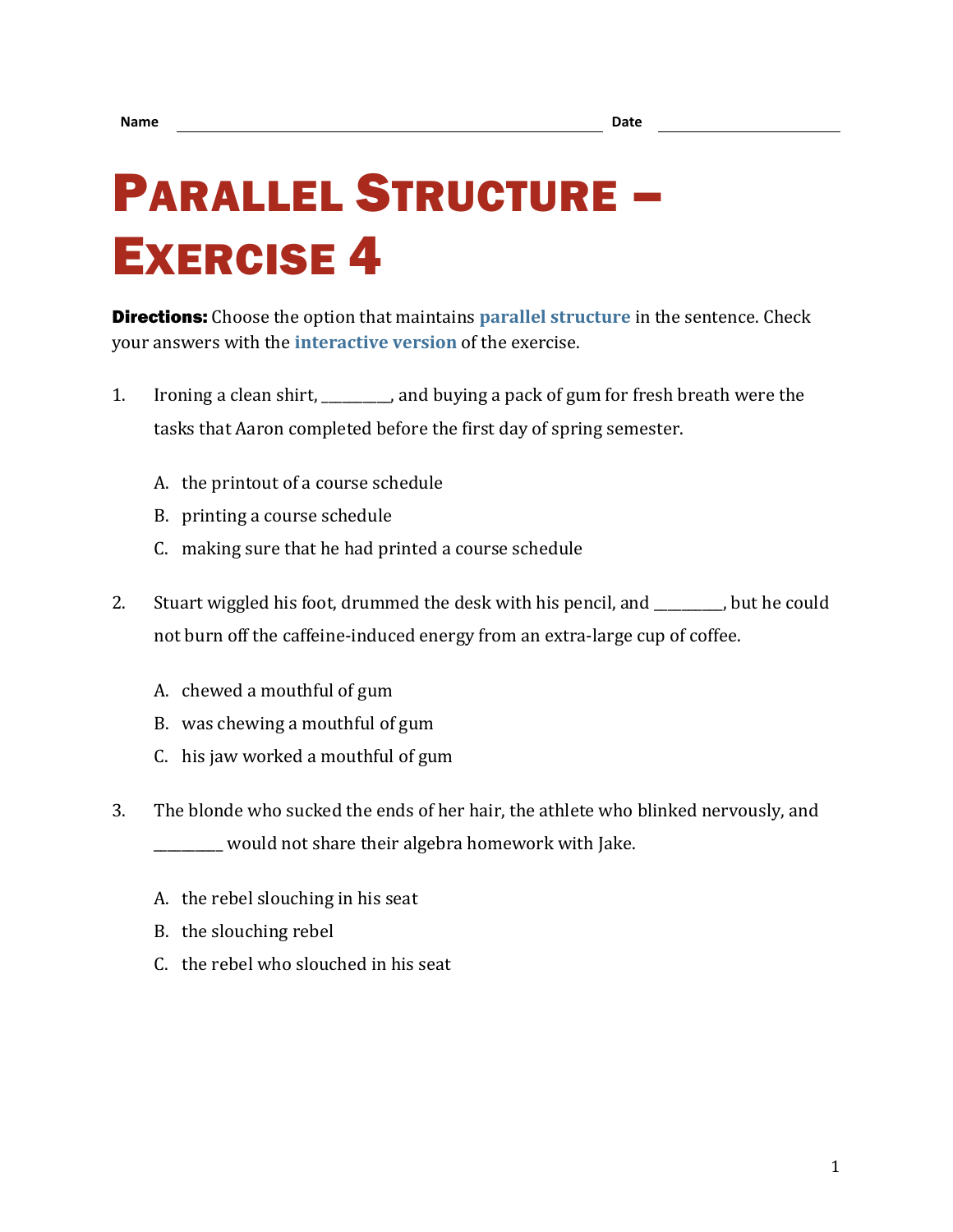## PARALLEL STRUCTURE – EXERCISE 4

**Directions:** Choose the option that maintains **[parallel structure](https://chompchomp.com/terms/parallelstructure.htm)** in the sentence. Check your answers with the **[interactive version](https://chompchomp.com/structure04/)** of the exercise.

- 1. Ironing a clean shirt, \_\_\_\_\_\_\_\_\_\_, and buying a pack of gum for fresh breath were the tasks that Aaron completed before the first day of spring semester.
	- A. the printout of a course schedule
	- B. printing a course schedule
	- C. making sure that he had printed a course schedule
- 2. Stuart wiggled his foot, drummed the desk with his pencil, and \_\_\_\_\_\_\_, but he could not burn off the caffeine-induced energy from an extra-large cup of coffee.
	- A. chewed a mouthful of gum
	- B. was chewing a mouthful of gum
	- C. his jaw worked a mouthful of gum
- 3. The blonde who sucked the ends of her hair, the athlete who blinked nervously, and \_\_\_\_\_\_\_\_\_\_ would not share their algebra homework with Jake.
	- A. the rebel slouching in his seat
	- B. the slouching rebel
	- C. the rebel who slouched in his seat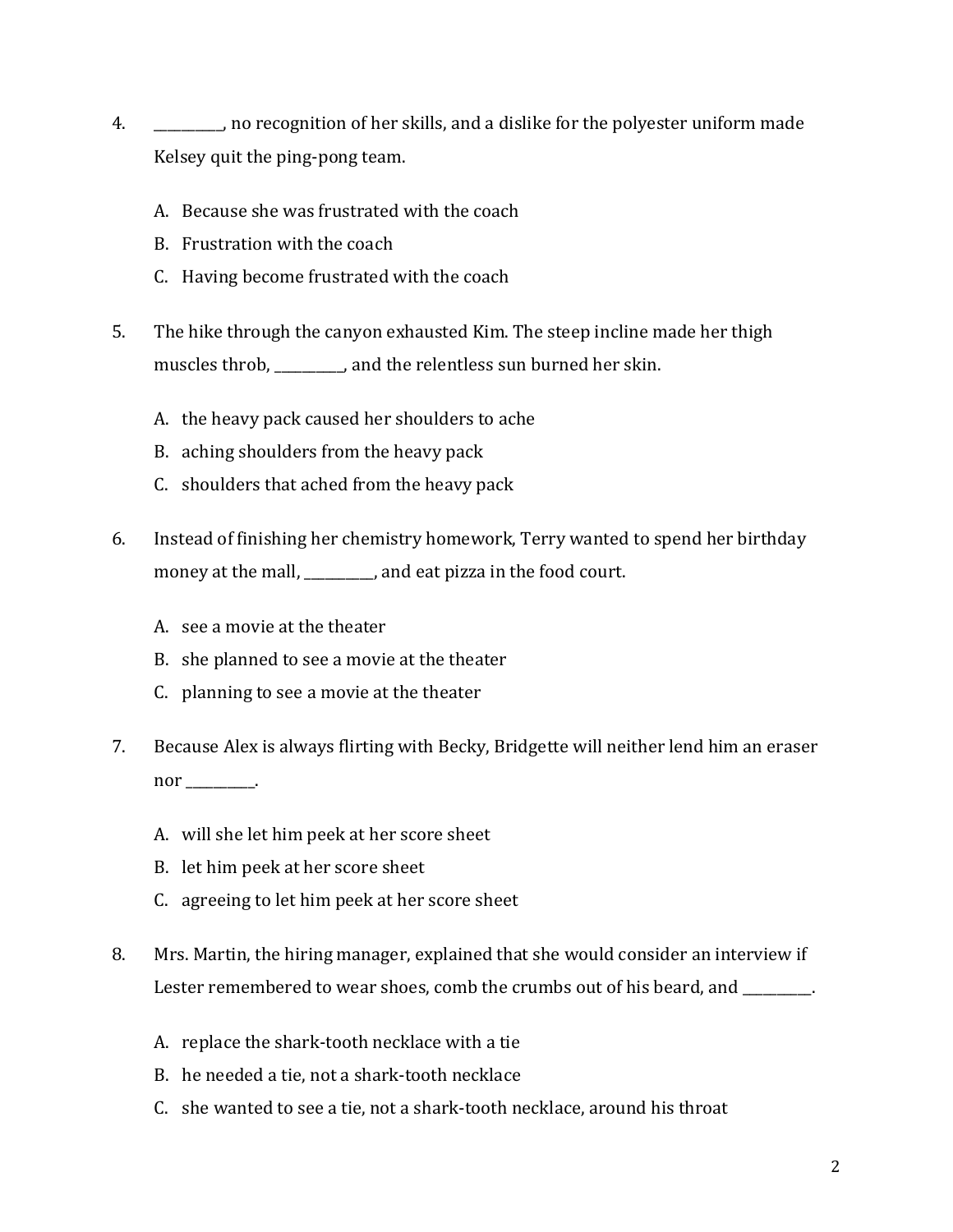- 4. \_\_\_\_\_\_\_\_\_\_, no recognition of her skills, and a dislike for the polyester uniform made Kelsey quit the ping-pong team.
	- A. Because she was frustrated with the coach
	- B. Frustration with the coach
	- C. Having become frustrated with the coach
- 5. The hike through the canyon exhausted Kim. The steep incline made her thigh muscles throb, \_\_\_\_\_\_\_\_\_\_, and the relentless sun burned her skin.
	- A. the heavy pack caused her shoulders to ache
	- B. aching shoulders from the heavy pack
	- C. shoulders that ached from the heavy pack
- 6. Instead of finishing her chemistry homework, Terry wanted to spend her birthday money at the mall, \_\_\_\_\_\_\_\_\_\_, and eat pizza in the food court.
	- A. see a movie at the theater
	- B. she planned to see a movie at the theater
	- C. planning to see a movie at the theater
- 7. Because Alex is always flirting with Becky, Bridgette will neither lend him an eraser nor  $\_\_\_\_\_\$ .
	- A. will she let him peek at her score sheet
	- B. let him peek at her score sheet
	- C. agreeing to let him peek at her score sheet
- 8. Mrs. Martin, the hiring manager, explained that she would consider an interview if Lester remembered to wear shoes, comb the crumbs out of his beard, and \_\_\_\_\_\_\_\_.
	- A. replace the shark-tooth necklace with a tie
	- B. he needed a tie, not a shark-tooth necklace
	- C. she wanted to see a tie, not a shark-tooth necklace, around his throat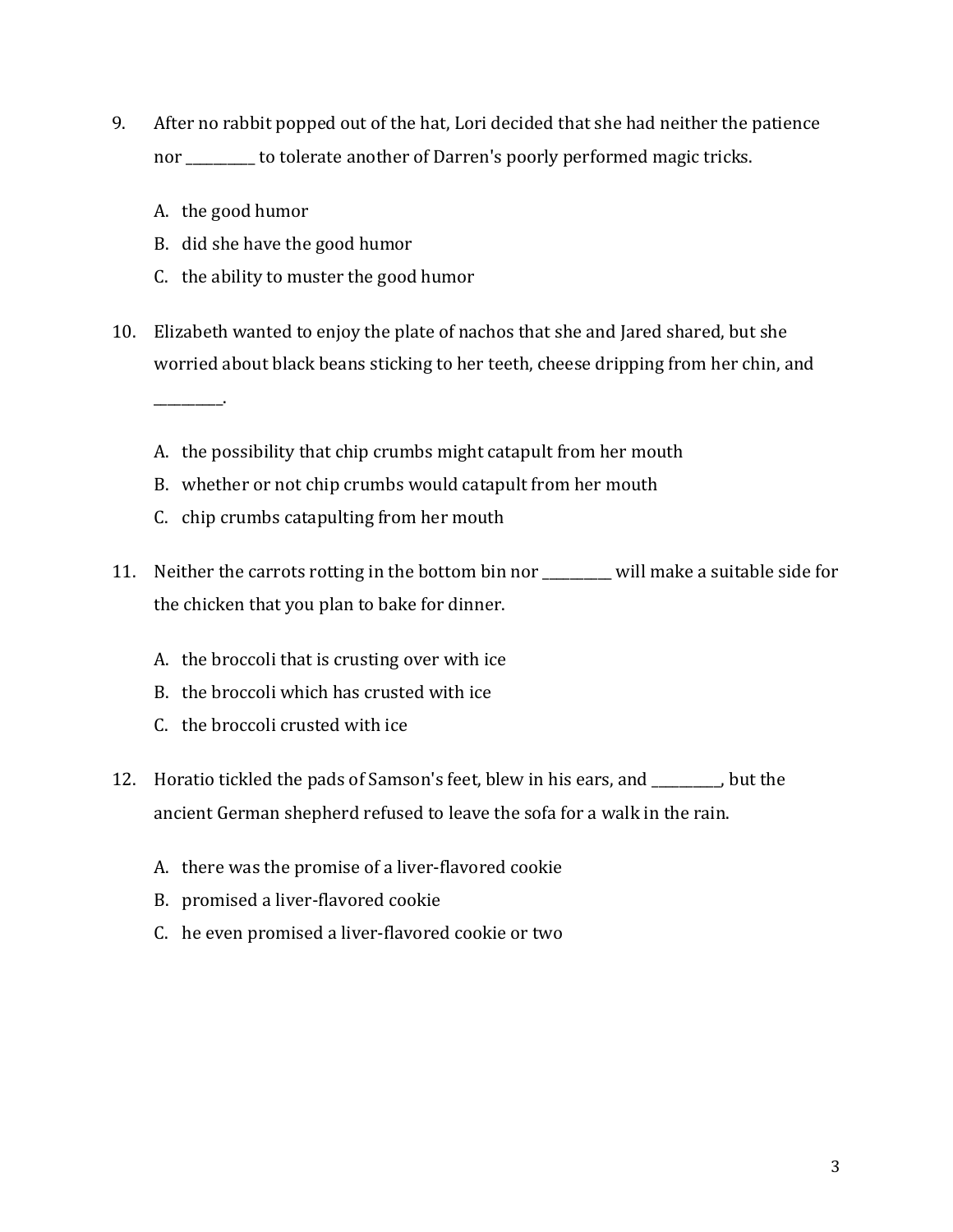- 9. After no rabbit popped out of the hat, Lori decided that she had neither the patience nor \_\_\_\_\_\_\_\_\_\_ to tolerate another of Darren's poorly performed magic tricks.
	- A. the good humor

\_\_\_\_\_\_\_\_\_\_.

- B. did she have the good humor
- C. the ability to muster the good humor
- 10. Elizabeth wanted to enjoy the plate of nachos that she and Jared shared, but she worried about black beans sticking to her teeth, cheese dripping from her chin, and
	- A. the possibility that chip crumbs might catapult from her mouth
	- B. whether or not chip crumbs would catapult from her mouth
	- C. chip crumbs catapulting from her mouth
- 11. Neither the carrots rotting in the bottom bin nor will make a suitable side for the chicken that you plan to bake for dinner.
	- A. the broccoli that is crusting over with ice
	- B. the broccoli which has crusted with ice
	- C. the broccoli crusted with ice
- 12. Horatio tickled the pads of Samson's feet, blew in his ears, and \_\_\_\_\_\_\_\_\_\_, but the ancient German shepherd refused to leave the sofa for a walk in the rain.
	- A. there was the promise of a liver-flavored cookie
	- B. promised a liver-flavored cookie
	- C. he even promised a liver-flavored cookie or two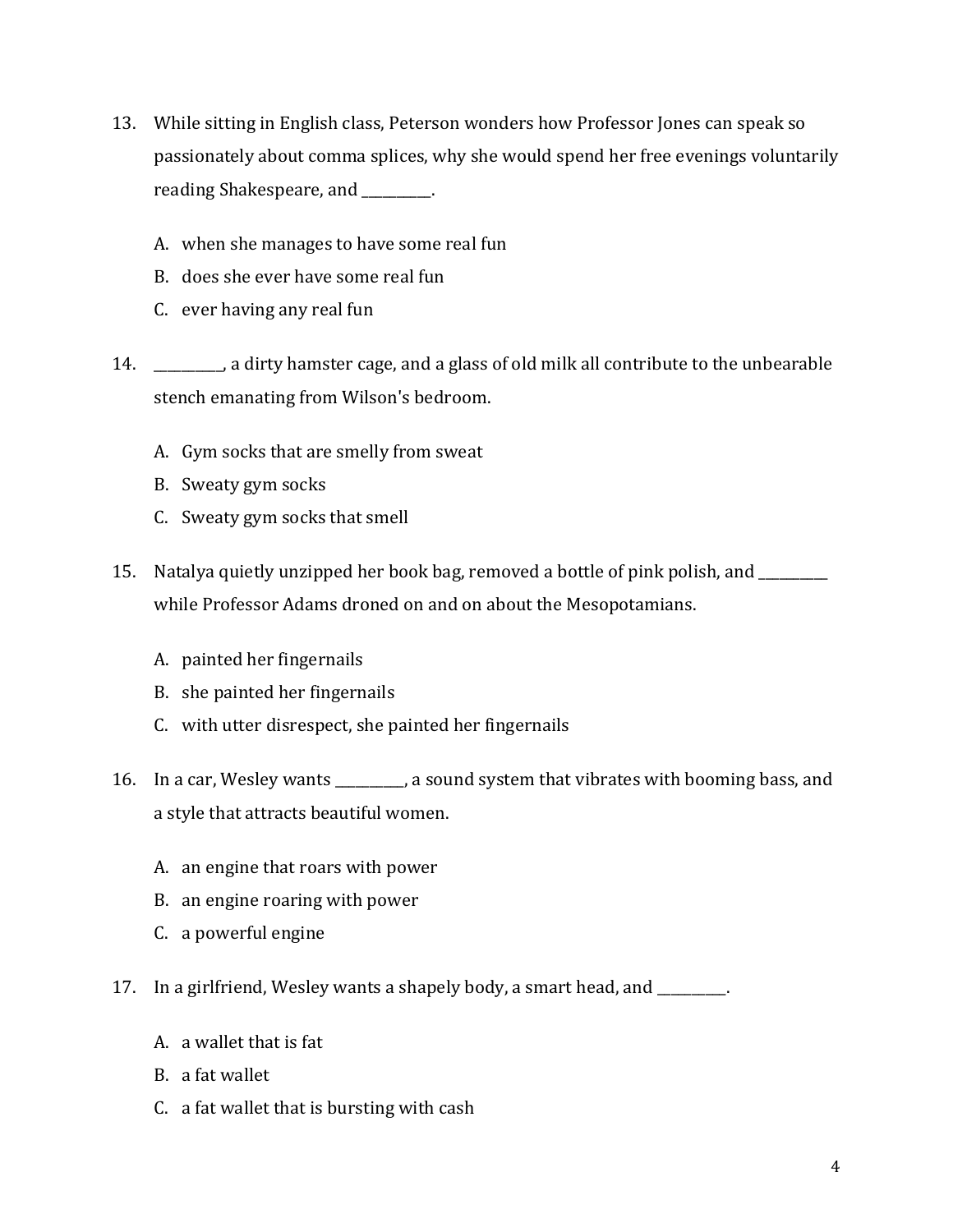- 13. While sitting in English class, Peterson wonders how Professor Jones can speak so passionately about comma splices, why she would spend her free evenings voluntarily reading Shakespeare, and \_\_\_\_\_\_\_\_\_\_.
	- A. when she manages to have some real fun
	- B. does she ever have some real fun
	- C. ever having any real fun
- 14. \_\_\_\_\_\_\_\_\_\_, a dirty hamster cage, and a glass of old milk all contribute to the unbearable stench emanating from Wilson's bedroom.
	- A. Gym socks that are smelly from sweat
	- B. Sweaty gym socks
	- C. Sweaty gym socks that smell
- 15. Natalya quietly unzipped her book bag, removed a bottle of pink polish, and \_\_\_\_\_\_\_\_\_\_ while Professor Adams droned on and on about the Mesopotamians.
	- A. painted her fingernails
	- B. she painted her fingernails
	- C. with utter disrespect, she painted her fingernails
- 16. In a car, Wesley wants \_\_\_\_\_\_\_\_\_\_, a sound system that vibrates with booming bass, and a style that attracts beautiful women.
	- A. an engine that roars with power
	- B. an engine roaring with power
	- C. a powerful engine
- 17. In a girlfriend, Wesley wants a shapely body, a smart head, and \_\_\_\_\_\_\_\_\_\_.
	- A. a wallet that is fat
	- B. a fat wallet
	- C. a fat wallet that is bursting with cash